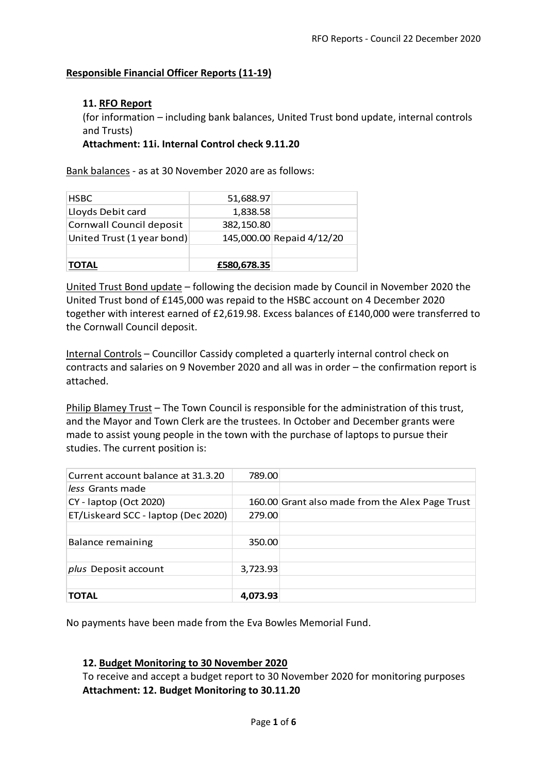## **Responsible Financial Officer Reports (11-19)**

### **11. RFO Report**

(for information – including bank balances, United Trust bond update, internal controls and Trusts)

**Attachment: 11i. Internal Control check 9.11.20**

Bank balances - as at 30 November 2020 are as follows:

| <b>HSBC</b>                | 51,688.97   |                           |
|----------------------------|-------------|---------------------------|
| Lloyds Debit card          | 1,838.58    |                           |
| Cornwall Council deposit   | 382,150.80  |                           |
| United Trust (1 year bond) |             | 145,000.00 Repaid 4/12/20 |
|                            |             |                           |
| ОТАІ                       | £580,678.35 |                           |

United Trust Bond update – following the decision made by Council in November 2020 the United Trust bond of £145,000 was repaid to the HSBC account on 4 December 2020 together with interest earned of £2,619.98. Excess balances of £140,000 were transferred to the Cornwall Council deposit.

Internal Controls – Councillor Cassidy completed a quarterly internal control check on contracts and salaries on 9 November 2020 and all was in order – the confirmation report is attached.

Philip Blamey Trust – The Town Council is responsible for the administration of this trust, and the Mayor and Town Clerk are the trustees. In October and December grants were made to assist young people in the town with the purchase of laptops to pursue their studies. The current position is:

| Current account balance at 31.3.20  | 789.00   |                                                 |
|-------------------------------------|----------|-------------------------------------------------|
| less Grants made                    |          |                                                 |
| CY - laptop (Oct 2020)              |          | 160.00 Grant also made from the Alex Page Trust |
| ET/Liskeard SCC - laptop (Dec 2020) | 279.00   |                                                 |
|                                     |          |                                                 |
| <b>Balance remaining</b>            | 350.00   |                                                 |
|                                     |          |                                                 |
| <i>plus</i> Deposit account         | 3,723.93 |                                                 |
|                                     |          |                                                 |
| <b>TOTAL</b>                        | 4.073.93 |                                                 |

No payments have been made from the Eva Bowles Memorial Fund.

#### **12. Budget Monitoring to 30 November 2020**

To receive and accept a budget report to 30 November 2020 for monitoring purposes **Attachment: 12. Budget Monitoring to 30.11.20**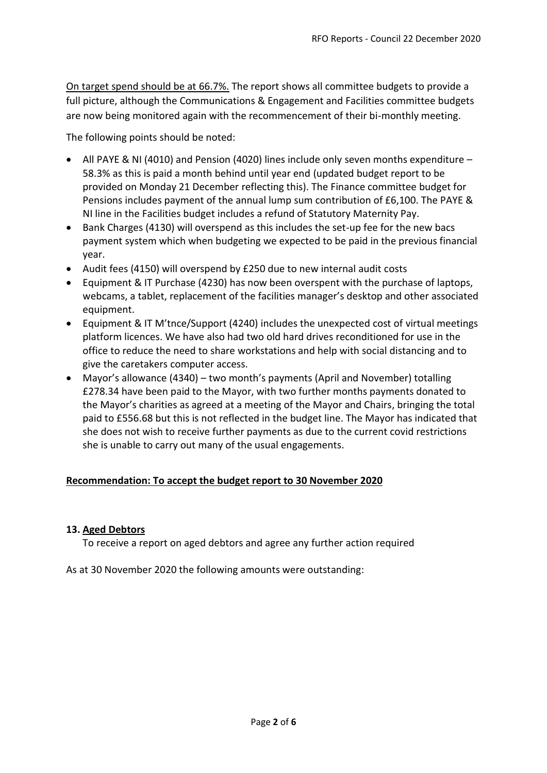On target spend should be at 66.7%. The report shows all committee budgets to provide a full picture, although the Communications & Engagement and Facilities committee budgets are now being monitored again with the recommencement of their bi-monthly meeting.

The following points should be noted:

- All PAYE & NI (4010) and Pension (4020) lines include only seven months expenditure 58.3% as this is paid a month behind until year end (updated budget report to be provided on Monday 21 December reflecting this). The Finance committee budget for Pensions includes payment of the annual lump sum contribution of £6,100. The PAYE & NI line in the Facilities budget includes a refund of Statutory Maternity Pay.
- Bank Charges (4130) will overspend as this includes the set-up fee for the new bacs payment system which when budgeting we expected to be paid in the previous financial year.
- Audit fees (4150) will overspend by £250 due to new internal audit costs
- Equipment & IT Purchase (4230) has now been overspent with the purchase of laptops, webcams, a tablet, replacement of the facilities manager's desktop and other associated equipment.
- Equipment & IT M'tnce/Support (4240) includes the unexpected cost of virtual meetings platform licences. We have also had two old hard drives reconditioned for use in the office to reduce the need to share workstations and help with social distancing and to give the caretakers computer access.
- Mayor's allowance (4340) two month's payments (April and November) totalling £278.34 have been paid to the Mayor, with two further months payments donated to the Mayor's charities as agreed at a meeting of the Mayor and Chairs, bringing the total paid to £556.68 but this is not reflected in the budget line. The Mayor has indicated that she does not wish to receive further payments as due to the current covid restrictions she is unable to carry out many of the usual engagements.

# **Recommendation: To accept the budget report to 30 November 2020**

#### **13. Aged Debtors**

To receive a report on aged debtors and agree any further action required

As at 30 November 2020 the following amounts were outstanding: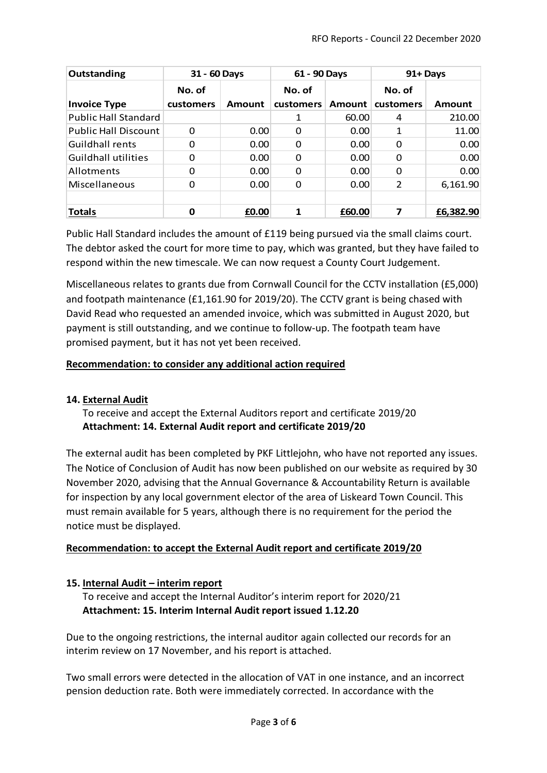| Outstanding                 | 31 - 60 Days |        | 61 - 90 Days |        | 91+ Days       |           |
|-----------------------------|--------------|--------|--------------|--------|----------------|-----------|
|                             | No. of       |        | No. of       |        | No. of         |           |
| <b>Invoice Type</b>         | customers    | Amount | customers    | Amount | customers      | Amount    |
| <b>Public Hall Standard</b> |              |        | 1            | 60.00  | 4              | 210.00    |
| <b>Public Hall Discount</b> | 0            | 0.00   | 0            | 0.00   | 1              | 11.00     |
| Guildhall rents             | 0            | 0.00   | $\Omega$     | 0.00   | 0              | 0.00      |
| <b>Guildhall utilities</b>  | O            | 0.00   | 0            | 0.00   | 0              | 0.00      |
| <b>Allotments</b>           | 0            | 0.00   | $\Omega$     | 0.00   | 0              | 0.00      |
| Miscellaneous               | O            | 0.00   | $\Omega$     | 0.00   | $\overline{2}$ | 6,161.90  |
|                             |              |        |              |        |                |           |
| <b>Totals</b>               | Ο            | £0.00  | 1            | £60.00 | 7              | £6,382.90 |

Public Hall Standard includes the amount of £119 being pursued via the small claims court. The debtor asked the court for more time to pay, which was granted, but they have failed to respond within the new timescale. We can now request a County Court Judgement.

Miscellaneous relates to grants due from Cornwall Council for the CCTV installation (£5,000) and footpath maintenance (£1,161.90 for 2019/20). The CCTV grant is being chased with David Read who requested an amended invoice, which was submitted in August 2020, but payment is still outstanding, and we continue to follow-up. The footpath team have promised payment, but it has not yet been received.

# **Recommendation: to consider any additional action required**

# **14. External Audit**

To receive and accept the External Auditors report and certificate 2019/20 **Attachment: 14. External Audit report and certificate 2019/20**

The external audit has been completed by PKF Littlejohn, who have not reported any issues. The Notice of Conclusion of Audit has now been published on our website as required by 30 November 2020, advising that the Annual Governance & Accountability Return is available for inspection by any local government elector of the area of Liskeard Town Council. This must remain available for 5 years, although there is no requirement for the period the notice must be displayed.

# **Recommendation: to accept the External Audit report and certificate 2019/20**

# **15. Internal Audit – interim report**

To receive and accept the Internal Auditor's interim report for 2020/21 **Attachment: 15. Interim Internal Audit report issued 1.12.20**

Due to the ongoing restrictions, the internal auditor again collected our records for an interim review on 17 November, and his report is attached.

Two small errors were detected in the allocation of VAT in one instance, and an incorrect pension deduction rate. Both were immediately corrected. In accordance with the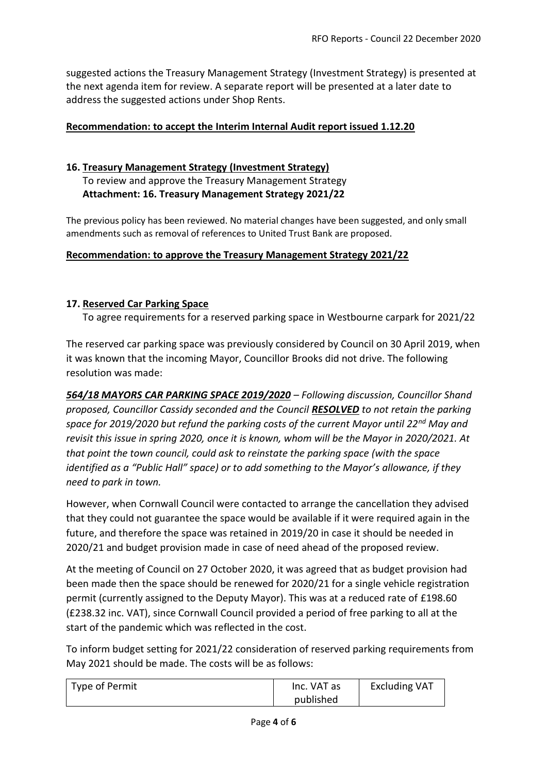suggested actions the Treasury Management Strategy (Investment Strategy) is presented at the next agenda item for review. A separate report will be presented at a later date to address the suggested actions under Shop Rents.

### **Recommendation: to accept the Interim Internal Audit report issued 1.12.20**

## **16. Treasury Management Strategy (Investment Strategy)**

To review and approve the Treasury Management Strategy **Attachment: 16. Treasury Management Strategy 2021/22**

The previous policy has been reviewed. No material changes have been suggested, and only small amendments such as removal of references to United Trust Bank are proposed.

#### **Recommendation: to approve the Treasury Management Strategy 2021/22**

### **17. Reserved Car Parking Space**

To agree requirements for a reserved parking space in Westbourne carpark for 2021/22

The reserved car parking space was previously considered by Council on 30 April 2019, when it was known that the incoming Mayor, Councillor Brooks did not drive. The following resolution was made:

*564/18 MAYORS CAR PARKING SPACE 2019/2020 – Following discussion, Councillor Shand proposed, Councillor Cassidy seconded and the Council RESOLVED to not retain the parking space for 2019/2020 but refund the parking costs of the current Mayor until 22nd May and revisit this issue in spring 2020, once it is known, whom will be the Mayor in 2020/2021. At that point the town council, could ask to reinstate the parking space (with the space identified as a "Public Hall" space) or to add something to the Mayor's allowance, if they need to park in town.* 

However, when Cornwall Council were contacted to arrange the cancellation they advised that they could not guarantee the space would be available if it were required again in the future, and therefore the space was retained in 2019/20 in case it should be needed in 2020/21 and budget provision made in case of need ahead of the proposed review.

At the meeting of Council on 27 October 2020, it was agreed that as budget provision had been made then the space should be renewed for 2020/21 for a single vehicle registration permit (currently assigned to the Deputy Mayor). This was at a reduced rate of £198.60 (£238.32 inc. VAT), since Cornwall Council provided a period of free parking to all at the start of the pandemic which was reflected in the cost.

To inform budget setting for 2021/22 consideration of reserved parking requirements from May 2021 should be made. The costs will be as follows:

| Type of Permit | Inc. VAT as | <b>Excluding VAT</b> |
|----------------|-------------|----------------------|
|                | published   |                      |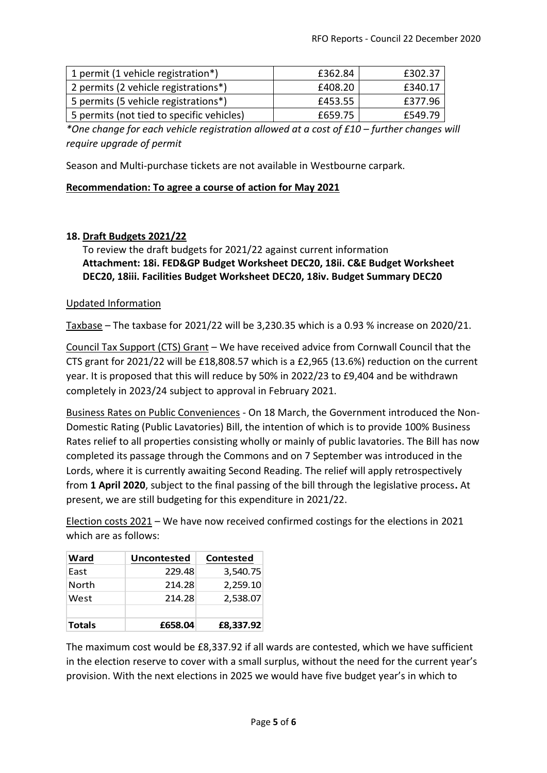| 1 permit (1 vehicle registration*)        | £362.84 | £302.37 |
|-------------------------------------------|---------|---------|
| 2 permits (2 vehicle registrations*)      | £408.20 | £340.17 |
| 5 permits (5 vehicle registrations*)      | £453.55 | £377.96 |
| 5 permits (not tied to specific vehicles) | £659.75 | £549.79 |

*\*One change for each vehicle registration allowed at a cost of £10 – further changes will require upgrade of permit*

Season and Multi-purchase tickets are not available in Westbourne carpark.

#### **Recommendation: To agree a course of action for May 2021**

### **18. Draft Budgets 2021/22**

To review the draft budgets for 2021/22 against current information **Attachment: 18i. FED&GP Budget Worksheet DEC20, 18ii. C&E Budget Worksheet DEC20, 18iii. Facilities Budget Worksheet DEC20, 18iv. Budget Summary DEC20**

#### Updated Information

Taxbase – The taxbase for 2021/22 will be 3,230.35 which is a 0.93 % increase on 2020/21.

Council Tax Support (CTS) Grant – We have received advice from Cornwall Council that the CTS grant for 2021/22 will be £18,808.57 which is a £2,965 (13.6%) reduction on the current year. It is proposed that this will reduce by 50% in 2022/23 to £9,404 and be withdrawn completely in 2023/24 subject to approval in February 2021.

Business Rates on Public Conveniences - On 18 March, the Government introduced the Non-Domestic Rating (Public Lavatories) Bill, the intention of which is to provide 100% Business Rates relief to all properties consisting wholly or mainly of public lavatories. The Bill has now completed its passage through the Commons and on 7 September was introduced in the Lords, where it is currently awaiting Second Reading. The relief will apply retrospectively from **1 April 2020**, subject to the final passing of the bill through the legislative process**.** At present, we are still budgeting for this expenditure in 2021/22.

Election costs 2021 – We have now received confirmed costings for the elections in 2021 which are as follows:

| Ward          | <b>Uncontested</b> | <b>Contested</b> |
|---------------|--------------------|------------------|
| East          | 229.48             | 3,540.75         |
| North         | 214.28             | 2,259.10         |
| West          | 214.28             | 2,538.07         |
| <b>Totals</b> | £658.04            | £8,337.92        |

The maximum cost would be £8,337.92 if all wards are contested, which we have sufficient in the election reserve to cover with a small surplus, without the need for the current year's provision. With the next elections in 2025 we would have five budget year's in which to